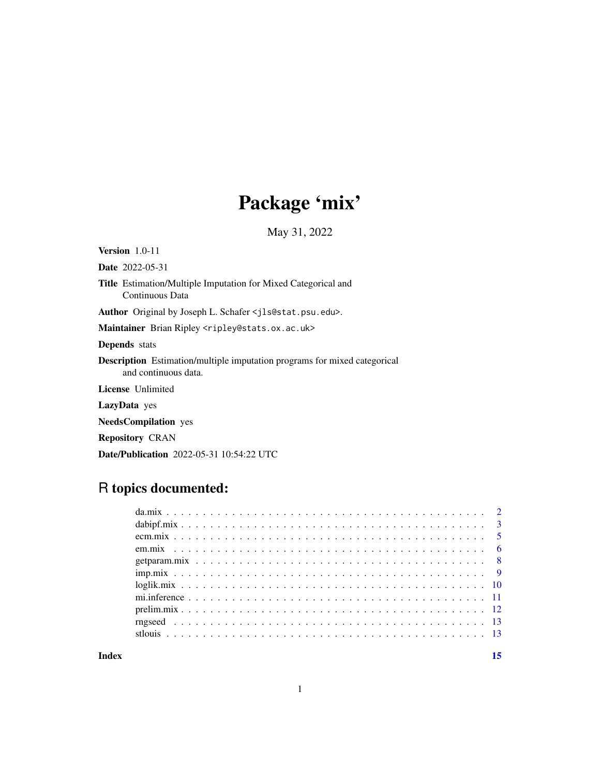# Package 'mix'

May 31, 2022

Version 1.0-11 Date 2022-05-31 Title Estimation/Multiple Imputation for Mixed Categorical and Continuous Data Author Original by Joseph L. Schafer <jls@stat.psu.edu>. Maintainer Brian Ripley <ripley@stats.ox.ac.uk> Depends stats Description Estimation/multiple imputation programs for mixed categorical and continuous data. License Unlimited LazyData yes NeedsCompilation yes Repository CRAN Date/Publication 2022-05-31 10:54:22 UTC

# R topics documented:

**Index** [15](#page-14-0)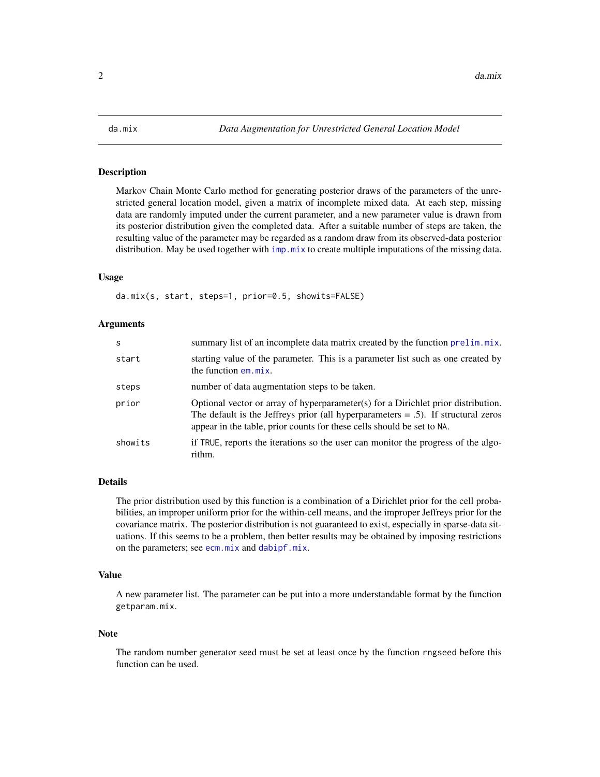<span id="page-1-1"></span><span id="page-1-0"></span>

# Description

Markov Chain Monte Carlo method for generating posterior draws of the parameters of the unrestricted general location model, given a matrix of incomplete mixed data. At each step, missing data are randomly imputed under the current parameter, and a new parameter value is drawn from its posterior distribution given the completed data. After a suitable number of steps are taken, the resulting value of the parameter may be regarded as a random draw from its observed-data posterior distribution. May be used together with  $\text{imp} \cdot \text{mix}$  to create multiple imputations of the missing data.

#### Usage

da.mix(s, start, steps=1, prior=0.5, showits=FALSE)

#### Arguments

| S       | summary list of an incomplete data matrix created by the function prelim.mix.                                                                                                                                                                       |
|---------|-----------------------------------------------------------------------------------------------------------------------------------------------------------------------------------------------------------------------------------------------------|
| start   | starting value of the parameter. This is a parameter list such as one created by<br>the function em.mix.                                                                                                                                            |
| steps   | number of data augmentation steps to be taken.                                                                                                                                                                                                      |
| prior   | Optional vector or array of hyperparameter(s) for a Dirichlet prior distribution.<br>The default is the Jeffreys prior (all hyperparameters $= .5$ ). If structural zeros<br>appear in the table, prior counts for these cells should be set to NA. |
| showits | if TRUE, reports the iterations so the user can monitor the progress of the algo-<br>rithm.                                                                                                                                                         |

#### Details

The prior distribution used by this function is a combination of a Dirichlet prior for the cell probabilities, an improper uniform prior for the within-cell means, and the improper Jeffreys prior for the covariance matrix. The posterior distribution is not guaranteed to exist, especially in sparse-data situations. If this seems to be a problem, then better results may be obtained by imposing restrictions on the parameters; see [ecm.mix](#page-4-1) and [dabipf.mix](#page-2-1).

#### Value

A new parameter list. The parameter can be put into a more understandable format by the function getparam.mix.

#### **Note**

The random number generator seed must be set at least once by the function rngseed before this function can be used.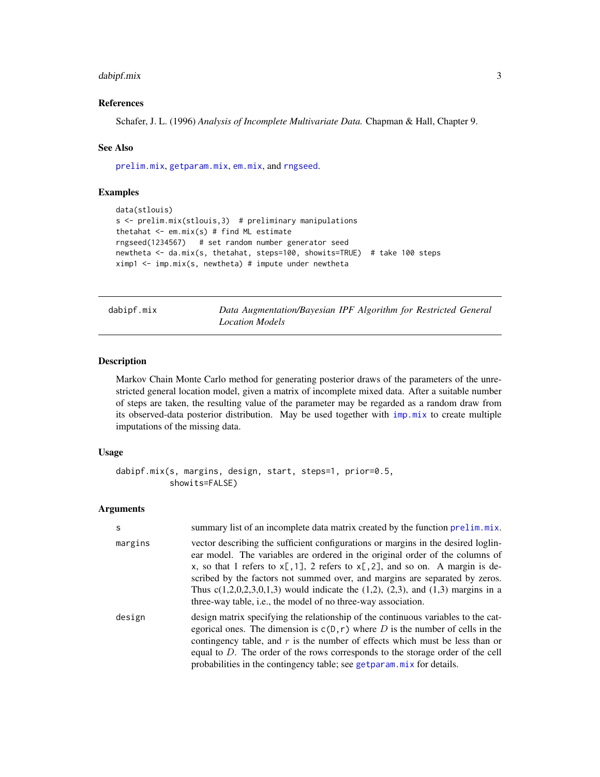# <span id="page-2-0"></span>dabipf.mix 3

# References

Schafer, J. L. (1996) *Analysis of Incomplete Multivariate Data.* Chapman & Hall, Chapter 9.

#### See Also

[prelim.mix](#page-11-1), [getparam.mix](#page-7-1), [em.mix](#page-5-1), and [rngseed](#page-12-1).

#### Examples

```
data(stlouis)
s <- prelim.mix(stlouis,3) # preliminary manipulations
thetahat \leq em.mix(s) # find ML estimate
rngseed(1234567) # set random number generator seed
newtheta <- da.mix(s, thetahat, steps=100, showits=TRUE) # take 100 steps
ximpl < -imp.mix(s, newtheta) # impute under newtheta
```
<span id="page-2-1"></span>dabipf.mix *Data Augmentation/Bayesian IPF Algorithm for Restricted General Location Models*

# Description

Markov Chain Monte Carlo method for generating posterior draws of the parameters of the unrestricted general location model, given a matrix of incomplete mixed data. After a suitable number of steps are taken, the resulting value of the parameter may be regarded as a random draw from its observed-data posterior distribution. May be used together with [imp.mix](#page-8-1) to create multiple imputations of the missing data.

#### Usage

```
dabipf.mix(s, margins, design, start, steps=1, prior=0.5,
           showits=FALSE)
```
#### Arguments

| <sub>S</sub> | summary list of an incomplete data matrix created by the function prelim.mix.                                                                                                                                                                                                                                                                                                                                                                                                                       |
|--------------|-----------------------------------------------------------------------------------------------------------------------------------------------------------------------------------------------------------------------------------------------------------------------------------------------------------------------------------------------------------------------------------------------------------------------------------------------------------------------------------------------------|
| margins      | vector describing the sufficient configurations or margins in the desired loglin-<br>ear model. The variables are ordered in the original order of the columns of<br>x, so that 1 refers to $x[, 1], 2$ refers to $x[, 2],$ and so on. A margin is de-<br>scribed by the factors not summed over, and margins are separated by zeros.<br>Thus $c(1,2,0,2,3,0,1,3)$ would indicate the $(1,2)$ , $(2,3)$ , and $(1,3)$ margins in a<br>three-way table, i.e., the model of no three-way association. |
| design       | design matrix specifying the relationship of the continuous variables to the cat-<br>egorical ones. The dimension is $c(D, r)$ where D is the number of cells in the<br>contingency table, and $r$ is the number of effects which must be less than or<br>equal to $D$ . The order of the rows corresponds to the storage order of the cell<br>probabilities in the contingency table; see get param mix for details.                                                                               |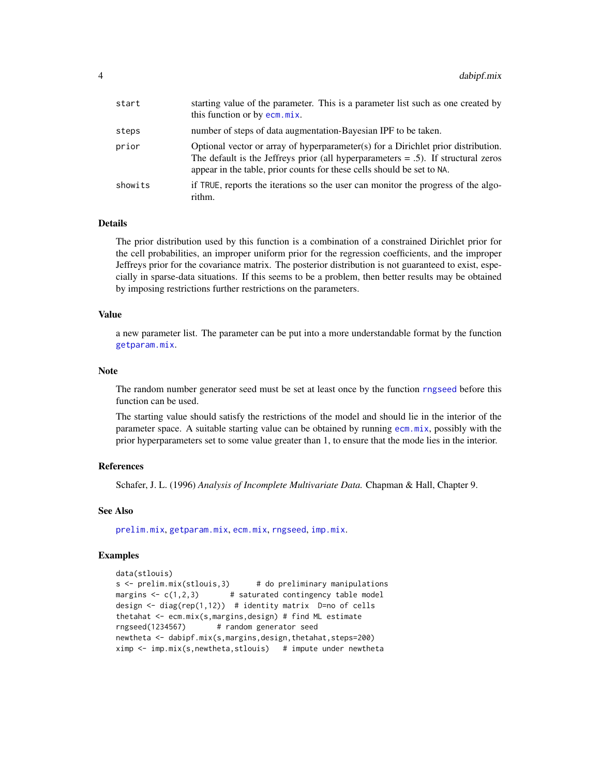<span id="page-3-0"></span>

| start   | starting value of the parameter. This is a parameter list such as one created by<br>this function or by ecm.mix.                                                                                                                                    |
|---------|-----------------------------------------------------------------------------------------------------------------------------------------------------------------------------------------------------------------------------------------------------|
| steps   | number of steps of data augmentation-Bayesian IPF to be taken.                                                                                                                                                                                      |
| prior   | Optional vector or array of hyperparameter(s) for a Dirichlet prior distribution.<br>The default is the Jeffreys prior (all hyperparameters $= .5$ ). If structural zeros<br>appear in the table, prior counts for these cells should be set to NA. |
| showits | if TRUE, reports the iterations so the user can monitor the progress of the algo-<br>rithm.                                                                                                                                                         |

# Details

The prior distribution used by this function is a combination of a constrained Dirichlet prior for the cell probabilities, an improper uniform prior for the regression coefficients, and the improper Jeffreys prior for the covariance matrix. The posterior distribution is not guaranteed to exist, especially in sparse-data situations. If this seems to be a problem, then better results may be obtained by imposing restrictions further restrictions on the parameters.

#### Value

a new parameter list. The parameter can be put into a more understandable format by the function [getparam.mix](#page-7-1).

# **Note**

The random number generator seed must be set at least once by the function [rngseed](#page-12-1) before this function can be used.

The starting value should satisfy the restrictions of the model and should lie in the interior of the parameter space. A suitable starting value can be obtained by running [ecm.mix](#page-4-1), possibly with the prior hyperparameters set to some value greater than 1, to ensure that the mode lies in the interior.

#### References

Schafer, J. L. (1996) *Analysis of Incomplete Multivariate Data.* Chapman & Hall, Chapter 9.

#### See Also

[prelim.mix](#page-11-1), [getparam.mix](#page-7-1), [ecm.mix](#page-4-1), [rngseed](#page-12-1), [imp.mix](#page-8-1).

#### Examples

```
data(stlouis)
s <- prelim.mix(stlouis,3) # do preliminary manipulations
margins \leq c(1,2,3) # saturated contingency table model
design \leq diag(rep(1,12)) # identity matrix D=no of cells
thetahat <- ecm.mix(s,margins,design) # find ML estimate
rngseed(1234567) # random generator seed
newtheta <- dabipf.mix(s,margins,design,thetahat,steps=200)
ximp <- imp.mix(s,newtheta,stlouis) # impute under newtheta
```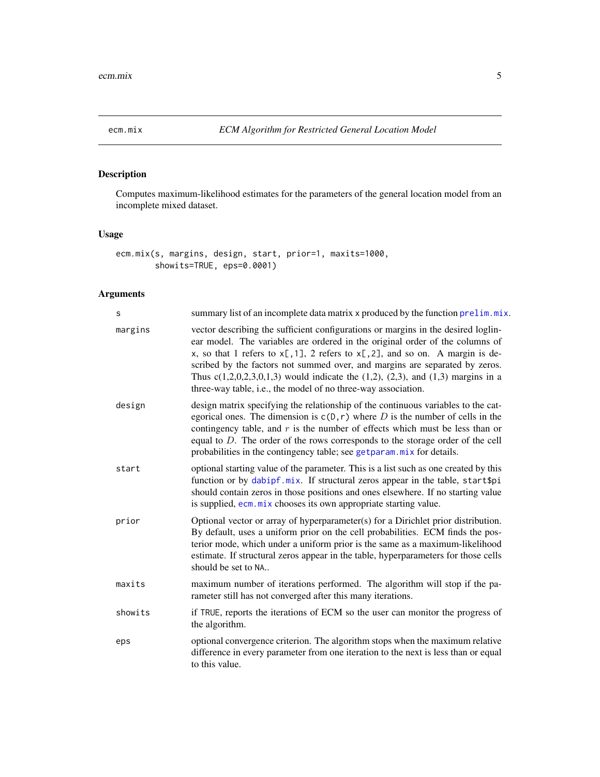<span id="page-4-1"></span><span id="page-4-0"></span>

# Description

Computes maximum-likelihood estimates for the parameters of the general location model from an incomplete mixed dataset.

# Usage

```
ecm.mix(s, margins, design, start, prior=1, maxits=1000,
        showits=TRUE, eps=0.0001)
```
# Arguments

| s       | summary list of an incomplete data matrix x produced by the function prelim.mix.                                                                                                                                                                                                                                                                                                                                                                                                                    |
|---------|-----------------------------------------------------------------------------------------------------------------------------------------------------------------------------------------------------------------------------------------------------------------------------------------------------------------------------------------------------------------------------------------------------------------------------------------------------------------------------------------------------|
| margins | vector describing the sufficient configurations or margins in the desired loglin-<br>ear model. The variables are ordered in the original order of the columns of<br>x, so that 1 refers to $x[, 1], 2$ refers to $x[, 2],$ and so on. A margin is de-<br>scribed by the factors not summed over, and margins are separated by zeros.<br>Thus $c(1,2,0,2,3,0,1,3)$ would indicate the $(1,2)$ , $(2,3)$ , and $(1,3)$ margins in a<br>three-way table, i.e., the model of no three-way association. |
| design  | design matrix specifying the relationship of the continuous variables to the cat-<br>egorical ones. The dimension is $c(D, r)$ where D is the number of cells in the<br>contingency table, and $r$ is the number of effects which must be less than or<br>equal to $D$ . The order of the rows corresponds to the storage order of the cell<br>probabilities in the contingency table; see getparam.mix for details.                                                                                |
| start   | optional starting value of the parameter. This is a list such as one created by this<br>function or by dabipf.mix. If structural zeros appear in the table, start\$pi<br>should contain zeros in those positions and ones elsewhere. If no starting value<br>is supplied, ecm. mix chooses its own appropriate starting value.                                                                                                                                                                      |
| prior   | Optional vector or array of hyperparameter(s) for a Dirichlet prior distribution.<br>By default, uses a uniform prior on the cell probabilities. ECM finds the pos-<br>terior mode, which under a uniform prior is the same as a maximum-likelihood<br>estimate. If structural zeros appear in the table, hyperparameters for those cells<br>should be set to NA                                                                                                                                    |
| maxits  | maximum number of iterations performed. The algorithm will stop if the pa-<br>rameter still has not converged after this many iterations.                                                                                                                                                                                                                                                                                                                                                           |
| showits | if TRUE, reports the iterations of ECM so the user can monitor the progress of<br>the algorithm.                                                                                                                                                                                                                                                                                                                                                                                                    |
| eps     | optional convergence criterion. The algorithm stops when the maximum relative<br>difference in every parameter from one iteration to the next is less than or equal<br>to this value.                                                                                                                                                                                                                                                                                                               |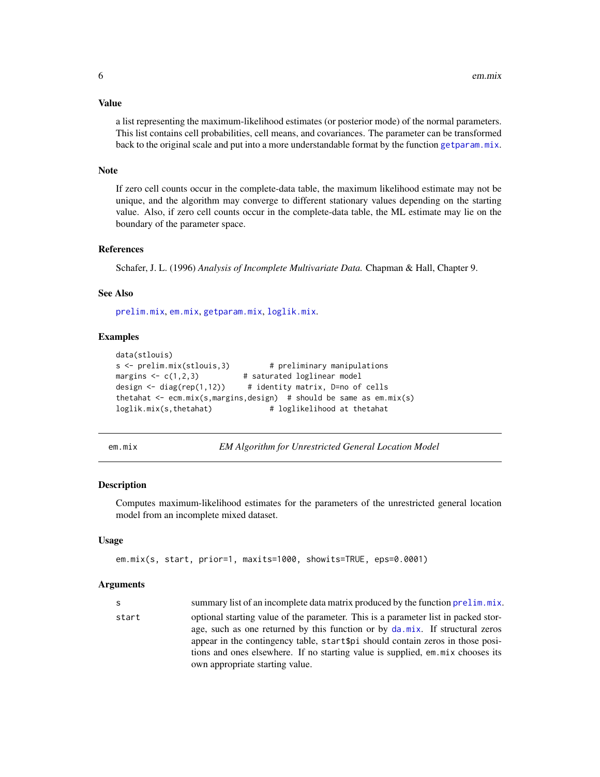#### <span id="page-5-0"></span>Value

a list representing the maximum-likelihood estimates (or posterior mode) of the normal parameters. This list contains cell probabilities, cell means, and covariances. The parameter can be transformed back to the original scale and put into a more understandable format by the function [getparam.mix](#page-7-1).

#### Note

If zero cell counts occur in the complete-data table, the maximum likelihood estimate may not be unique, and the algorithm may converge to different stationary values depending on the starting value. Also, if zero cell counts occur in the complete-data table, the ML estimate may lie on the boundary of the parameter space.

#### References

Schafer, J. L. (1996) *Analysis of Incomplete Multivariate Data.* Chapman & Hall, Chapter 9.

#### See Also

[prelim.mix](#page-11-1), [em.mix](#page-5-1), [getparam.mix](#page-7-1), [loglik.mix](#page-9-1).

#### Examples

```
data(stlouis)
s <- prelim.mix(stlouis,3) # preliminary manipulations
margins \leq c(1,2,3) # saturated loglinear model
design \le diag(rep(1,12)) # identity matrix, D=no of cells
thetahat \leq ecm.mix(s, margins, design) # should be same as em.mix(s)
loglik.mix(s,thetahat) # loglikelihood at thetahat
```
em.mix *EM Algorithm for Unrestricted General Location Model*

#### Description

Computes maximum-likelihood estimates for the parameters of the unrestricted general location model from an incomplete mixed dataset.

#### Usage

```
em.mix(s, start, prior=1, maxits=1000, showits=TRUE, eps=0.0001)
```
#### Arguments

s summary list of an incomplete data matrix produced by the function [prelim.mix](#page-11-1). start optional starting value of the parameter. This is a parameter list in packed storage, such as one returned by this function or by [da.mix](#page-1-1). If structural zeros appear in the contingency table, start\$pi should contain zeros in those positions and ones elsewhere. If no starting value is supplied, em.mix chooses its own appropriate starting value.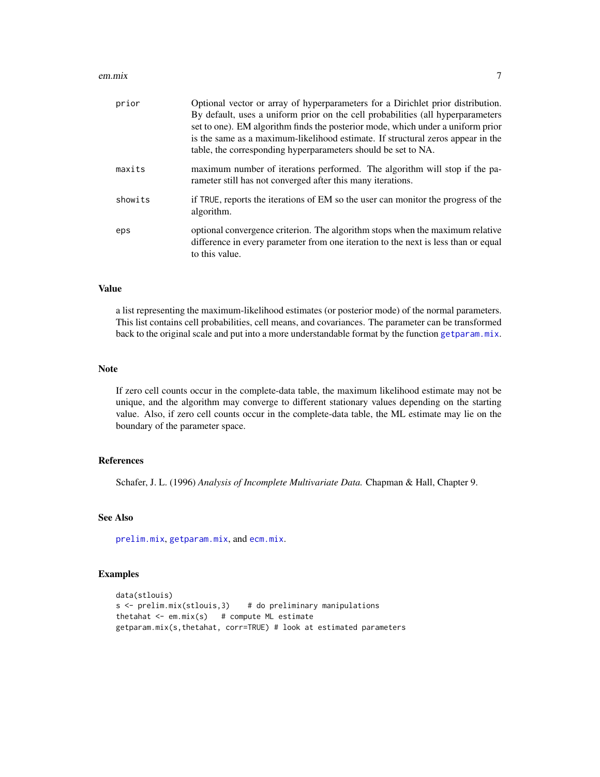#### <span id="page-6-0"></span>em.mix 7

| prior   | Optional vector or array of hyperparameters for a Dirichlet prior distribution.<br>By default, uses a uniform prior on the cell probabilities (all hyperparameters<br>set to one). EM algorithm finds the posterior mode, which under a uniform prior<br>is the same as a maximum-likelihood estimate. If structural zeros appear in the<br>table, the corresponding hyperparameters should be set to NA. |
|---------|-----------------------------------------------------------------------------------------------------------------------------------------------------------------------------------------------------------------------------------------------------------------------------------------------------------------------------------------------------------------------------------------------------------|
| maxits  | maximum number of iterations performed. The algorithm will stop if the pa-<br>rameter still has not converged after this many iterations.                                                                                                                                                                                                                                                                 |
| showits | if TRUE, reports the iterations of EM so the user can monitor the progress of the<br>algorithm.                                                                                                                                                                                                                                                                                                           |
| eps     | optional convergence criterion. The algorithm stops when the maximum relative<br>difference in every parameter from one iteration to the next is less than or equal<br>to this value.                                                                                                                                                                                                                     |

#### Value

a list representing the maximum-likelihood estimates (or posterior mode) of the normal parameters. This list contains cell probabilities, cell means, and covariances. The parameter can be transformed back to the original scale and put into a more understandable format by the function [getparam.mix](#page-7-1).

#### Note

If zero cell counts occur in the complete-data table, the maximum likelihood estimate may not be unique, and the algorithm may converge to different stationary values depending on the starting value. Also, if zero cell counts occur in the complete-data table, the ML estimate may lie on the boundary of the parameter space.

#### References

Schafer, J. L. (1996) *Analysis of Incomplete Multivariate Data.* Chapman & Hall, Chapter 9.

# See Also

[prelim.mix](#page-11-1), [getparam.mix](#page-7-1), and [ecm.mix](#page-4-1).

#### Examples

```
data(stlouis)
s \le prelim.mix(stlouis, 3) # do preliminary manipulations
thetahat \leq em.mix(s) # compute ML estimate
getparam.mix(s,thetahat, corr=TRUE) # look at estimated parameters
```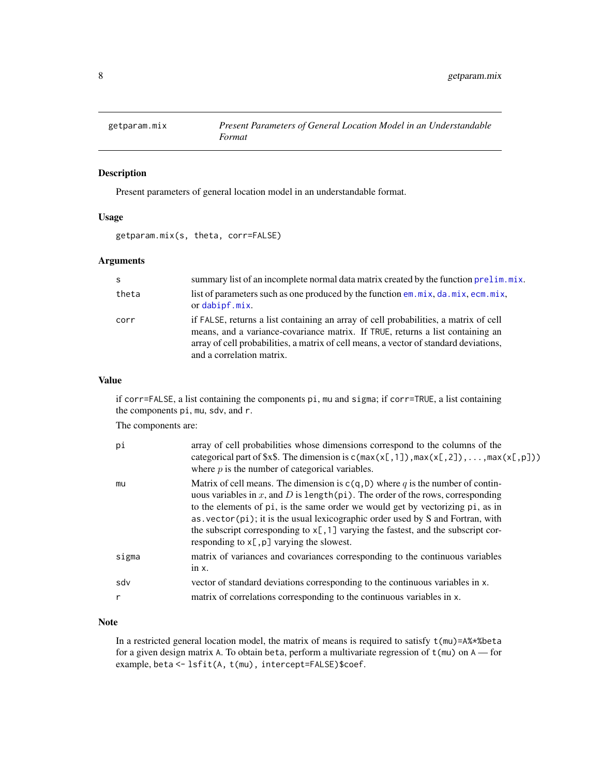<span id="page-7-1"></span><span id="page-7-0"></span>

# Description

Present parameters of general location model in an understandable format.

# Usage

```
getparam.mix(s, theta, corr=FALSE)
```
# Arguments

| -S    | summary list of an incomplete normal data matrix created by the function prelim.mix.                                                                                                                                                                                                         |
|-------|----------------------------------------------------------------------------------------------------------------------------------------------------------------------------------------------------------------------------------------------------------------------------------------------|
| theta | list of parameters such as one produced by the function $em.mix$ , $da.mix$ , $ecm.mix$ ,<br>or dabipf.mix.                                                                                                                                                                                  |
| corr  | if FALSE, returns a list containing an array of cell probabilities, a matrix of cell<br>means, and a variance-covariance matrix. If TRUE, returns a list containing an<br>array of cell probabilities, a matrix of cell means, a vector of standard deviations,<br>and a correlation matrix. |

### Value

if corr=FALSE, a list containing the components pi, mu and sigma; if corr=TRUE, a list containing the components pi, mu, sdv, and r.

The components are:

| рi           | array of cell probabilities whose dimensions correspond to the columns of the<br>categorical part of \$x\$. The dimension is $c(max(x[, 1])$ , $max(x[, 2])$ , , $max(x[, p])$ )<br>where $p$ is the number of categorical variables.                                                                                                                                                                                                                                                             |
|--------------|---------------------------------------------------------------------------------------------------------------------------------------------------------------------------------------------------------------------------------------------------------------------------------------------------------------------------------------------------------------------------------------------------------------------------------------------------------------------------------------------------|
| mu           | Matrix of cell means. The dimension is $c(q, D)$ where q is the number of contin-<br>uous variables in x, and D is length (pi). The order of the rows, corresponding<br>to the elements of pi, is the same order we would get by vectorizing pi, as in<br>$\alpha$ as . vector( $pi$ ); it is the usual lexicographic order used by S and Fortran, with<br>the subscript corresponding to $x$ [,1] varying the fastest, and the subscript cor-<br>responding to $x$ [, $p$ ] varying the slowest. |
| sigma        | matrix of variances and covariances corresponding to the continuous variables<br>in $x$ .                                                                                                                                                                                                                                                                                                                                                                                                         |
| sdv          | vector of standard deviations corresponding to the continuous variables in x.                                                                                                                                                                                                                                                                                                                                                                                                                     |
| $\mathsf{r}$ | matrix of correlations corresponding to the continuous variables in x.                                                                                                                                                                                                                                                                                                                                                                                                                            |

# Note

In a restricted general location model, the matrix of means is required to satisfy  $t$ (mu)=A%\*%beta for a given design matrix A. To obtain beta, perform a multivariate regression of t(mu) on A — for example, beta <- lsfit(A, t(mu), intercept=FALSE)\$coef.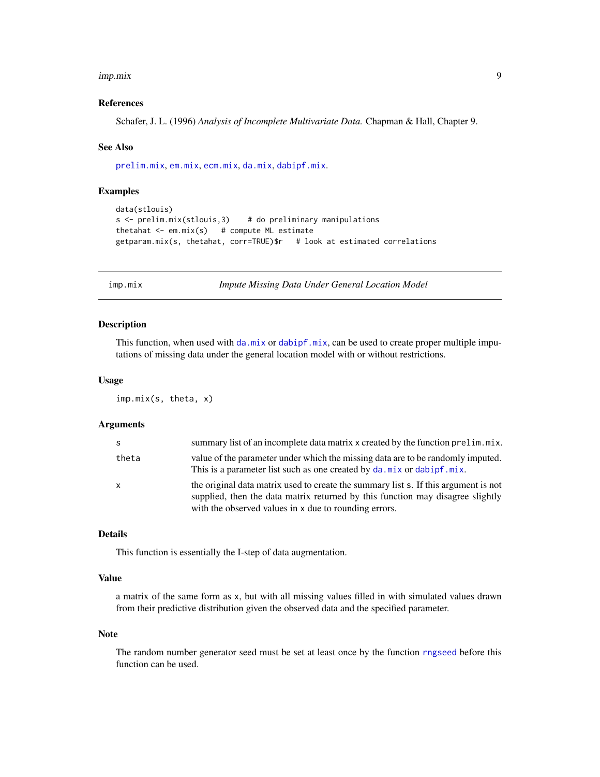#### <span id="page-8-0"></span>imp.mix 9

### References

Schafer, J. L. (1996) *Analysis of Incomplete Multivariate Data.* Chapman & Hall, Chapter 9.

#### See Also

[prelim.mix](#page-11-1), [em.mix](#page-5-1), [ecm.mix](#page-4-1), [da.mix](#page-1-1), [dabipf.mix](#page-2-1).

### Examples

```
data(stlouis)
s \le prelim.mix(stlouis, 3) # do preliminary manipulations
thetahat \leq em.mix(s) # compute ML estimate
getparam.mix(s, thetahat, corr=TRUE)$r # look at estimated correlations
```
<span id="page-8-1"></span>

imp.mix *Impute Missing Data Under General Location Model*

# Description

This function, when used with [da.mix](#page-1-1) or [dabipf.mix](#page-2-1), can be used to create proper multiple imputations of missing data under the general location model with or without restrictions.

#### Usage

imp.mix(s, theta, x)

#### Arguments

| -S           | summary list of an incomplete data matrix x created by the function prelim.mix.                                                                                                                                                |
|--------------|--------------------------------------------------------------------------------------------------------------------------------------------------------------------------------------------------------------------------------|
| theta        | value of the parameter under which the missing data are to be randomly imputed.<br>This is a parameter list such as one created by da. mix or dabipf. mix.                                                                     |
| $\mathsf{x}$ | the original data matrix used to create the summary list s. If this argument is not<br>supplied, then the data matrix returned by this function may disagree slightly<br>with the observed values in x due to rounding errors. |

# Details

This function is essentially the I-step of data augmentation.

# Value

a matrix of the same form as x, but with all missing values filled in with simulated values drawn from their predictive distribution given the observed data and the specified parameter.

#### Note

The random number generator seed must be set at least once by the function [rngseed](#page-12-1) before this function can be used.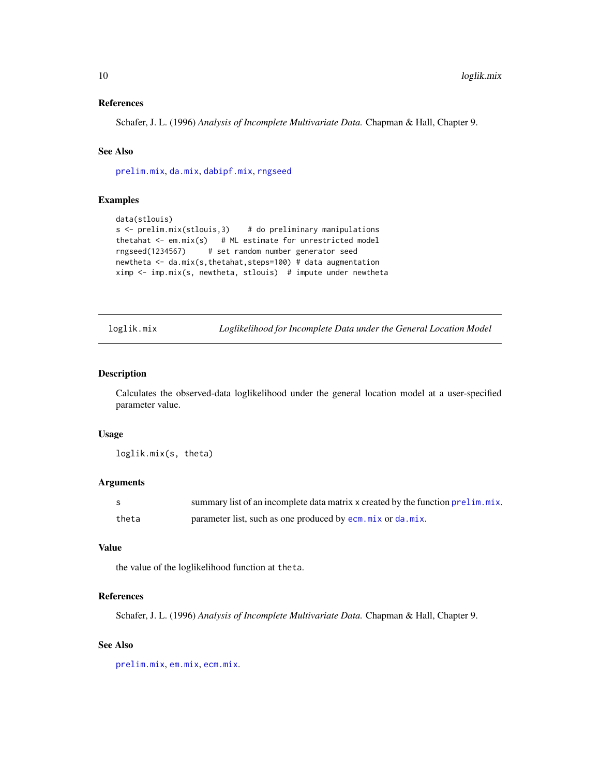#### <span id="page-9-0"></span>References

Schafer, J. L. (1996) *Analysis of Incomplete Multivariate Data.* Chapman & Hall, Chapter 9.

# See Also

[prelim.mix](#page-11-1), [da.mix](#page-1-1), [dabipf.mix](#page-2-1), [rngseed](#page-12-1)

# Examples

```
data(stlouis)
s < - prelim.mix(stlouis, 3) # do preliminary manipulations
thetahat \leq em.mix(s) # ML estimate for unrestricted model
rngseed(1234567) # set random number generator seed
newtheta <- da.mix(s,thetahat,steps=100) # data augmentation
ximp \leq imp.mix(s, newtheta, stlouis) # impute under newtheta
```
loglik.mix *Loglikelihood for Incomplete Data under the General Location Model*

# Description

Calculates the observed-data loglikelihood under the general location model at a user-specified parameter value.

#### Usage

loglik.mix(s, theta)

# Arguments

|       | summary list of an incomplete data matrix x created by the function prelim.mix. |
|-------|---------------------------------------------------------------------------------|
| theta | parameter list, such as one produced by ecm. mix or da. mix.                    |

# Value

the value of the loglikelihood function at theta.

#### References

Schafer, J. L. (1996) *Analysis of Incomplete Multivariate Data.* Chapman & Hall, Chapter 9.

#### See Also

[prelim.mix](#page-11-1), [em.mix](#page-5-1), [ecm.mix](#page-4-1).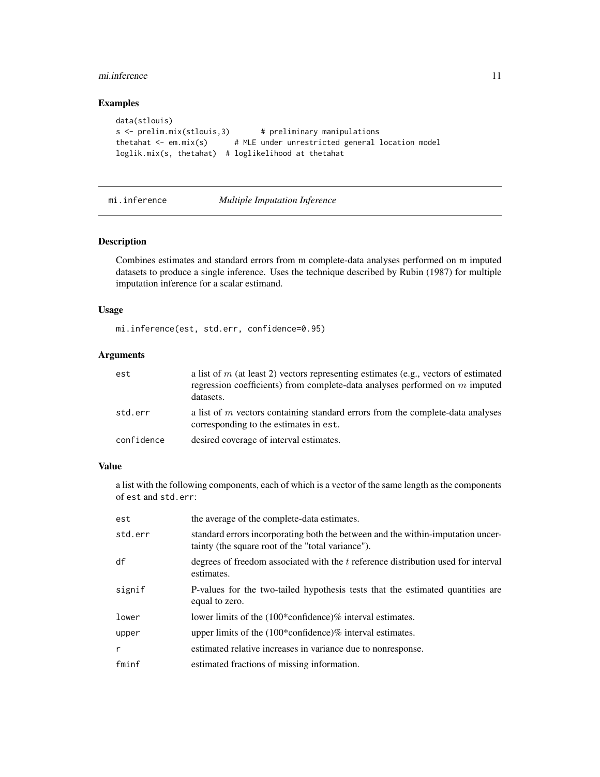#### <span id="page-10-0"></span>mi.inference 11

# Examples

```
data(stlouis)
s <- prelim.mix(stlouis,3) # preliminary manipulations
thetahat \leq em.mix(s) # MLE under unrestricted general location model
loglik.mix(s, thetahat) # loglikelihood at thetahat
```
# mi.inference *Multiple Imputation Inference*

# Description

Combines estimates and standard errors from m complete-data analyses performed on m imputed datasets to produce a single inference. Uses the technique described by Rubin (1987) for multiple imputation inference for a scalar estimand.

#### Usage

mi.inference(est, std.err, confidence=0.95)

# Arguments

| est        | a list of m (at least 2) vectors representing estimates (e.g., vectors of estimated<br>regression coefficients) from complete-data analyses performed on $m$ imputed<br>datasets. |
|------------|-----------------------------------------------------------------------------------------------------------------------------------------------------------------------------------|
| std.err    | a list of $m$ vectors containing standard errors from the complete-data analyses<br>corresponding to the estimates in est.                                                        |
| confidence | desired coverage of interval estimates.                                                                                                                                           |

#### Value

a list with the following components, each of which is a vector of the same length as the components of est and std.err:

| est     | the average of the complete-data estimates.                                                                                          |
|---------|--------------------------------------------------------------------------------------------------------------------------------------|
| std.err | standard errors incorporating both the between and the within-imputation uncer-<br>tainty (the square root of the "total variance"). |
| df      | degrees of freedom associated with the t reference distribution used for interval<br>estimates.                                      |
| signif  | P-values for the two-tailed hypothesis tests that the estimated quantities are<br>equal to zero.                                     |
| lower   | lower limits of the (100*confidence)% interval estimates.                                                                            |
| upper   | upper limits of the $(100*$ confidence)% interval estimates.                                                                         |
| r       | estimated relative increases in variance due to nonresponse.                                                                         |
| fminf   | estimated fractions of missing information.                                                                                          |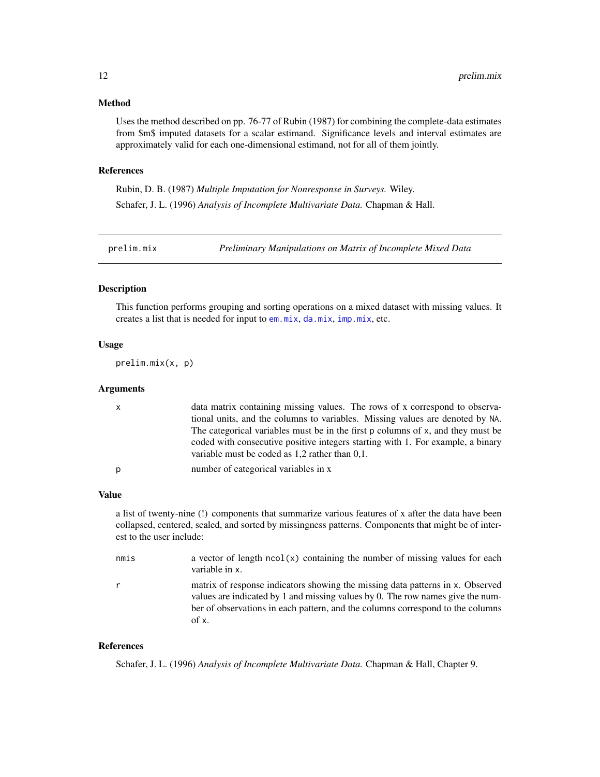# <span id="page-11-0"></span>Method

Uses the method described on pp. 76-77 of Rubin (1987) for combining the complete-data estimates from \$m\$ imputed datasets for a scalar estimand. Significance levels and interval estimates are approximately valid for each one-dimensional estimand, not for all of them jointly.

#### References

Rubin, D. B. (1987) *Multiple Imputation for Nonresponse in Surveys.* Wiley. Schafer, J. L. (1996) *Analysis of Incomplete Multivariate Data.* Chapman & Hall.

<span id="page-11-1"></span>

prelim.mix *Preliminary Manipulations on Matrix of Incomplete Mixed Data*

#### Description

This function performs grouping and sorting operations on a mixed dataset with missing values. It creates a list that is needed for input to [em.mix](#page-5-1), [da.mix](#page-1-1), [imp.mix](#page-8-1), etc.

#### Usage

prelim.mix(x, p)

# Arguments

| $\mathsf{X}$ | data matrix containing missing values. The rows of x correspond to observa-<br>tional units, and the columns to variables. Missing values are denoted by NA.                                                              |
|--------------|---------------------------------------------------------------------------------------------------------------------------------------------------------------------------------------------------------------------------|
|              | The categorical variables must be in the first p columns of x, and they must be<br>coded with consecutive positive integers starting with 1. For example, a binary<br>variable must be coded as $1,2$ rather than $0,1$ . |
| p            | number of categorical variables in x                                                                                                                                                                                      |

#### Value

a list of twenty-nine (!) components that summarize various features of x after the data have been collapsed, centered, scaled, and sorted by missingness patterns. Components that might be of interest to the user include:

| nmis | a vector of length $ncol(x)$ containing the number of missing values for each<br>variable in x.                                                                                                                                                             |
|------|-------------------------------------------------------------------------------------------------------------------------------------------------------------------------------------------------------------------------------------------------------------|
| r    | matrix of response indicators showing the missing data patterns in x. Observed<br>values are indicated by 1 and missing values by 0. The row names give the num-<br>ber of observations in each pattern, and the columns correspond to the columns<br>of x. |

# References

Schafer, J. L. (1996) *Analysis of Incomplete Multivariate Data.* Chapman & Hall, Chapter 9.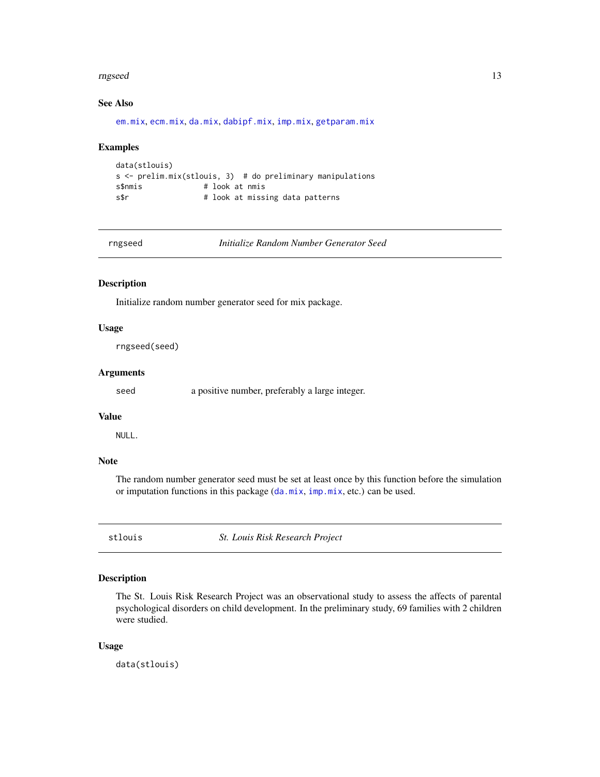#### <span id="page-12-0"></span>rngseed and the contract of the contract of the contract of the contract of the contract of the contract of the contract of the contract of the contract of the contract of the contract of the contract of the contract of th

# See Also

[em.mix](#page-5-1), [ecm.mix](#page-4-1), [da.mix](#page-1-1), [dabipf.mix](#page-2-1), [imp.mix](#page-8-1), [getparam.mix](#page-7-1)

#### Examples

```
data(stlouis)
s <- prelim.mix(stlouis, 3) # do preliminary manipulations
s$nmis # look at nmis
s$r    # look at missing data patterns
```
<span id="page-12-1"></span>rngseed *Initialize Random Number Generator Seed*

#### Description

Initialize random number generator seed for mix package.

# Usage

rngseed(seed)

# Arguments

seed a positive number, preferably a large integer.

#### Value

NULL.

# Note

The random number generator seed must be set at least once by this function before the simulation or imputation functions in this package ([da.mix](#page-1-1), [imp.mix](#page-8-1), etc.) can be used.

stlouis *St. Louis Risk Research Project*

# Description

The St. Louis Risk Research Project was an observational study to assess the affects of parental psychological disorders on child development. In the preliminary study, 69 families with 2 children were studied.

#### Usage

data(stlouis)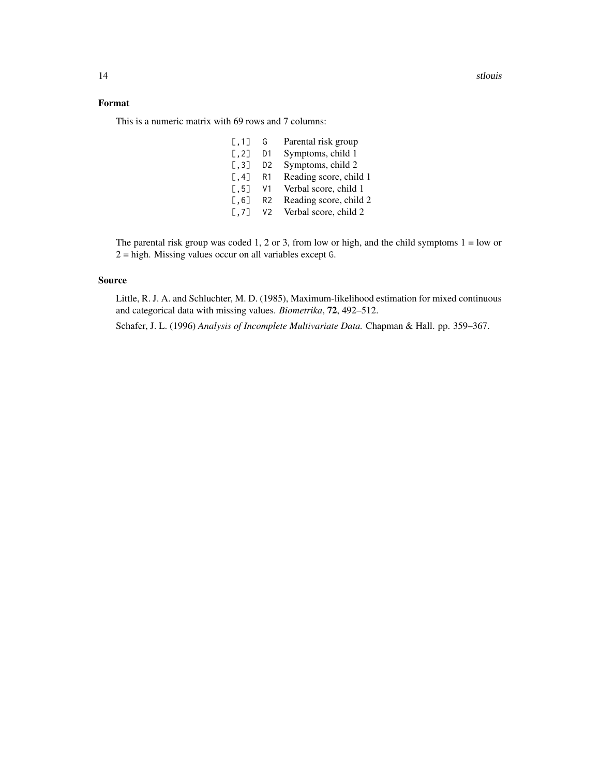14 stlouis and the state of the state of the state of the state of the state of the state of the state of the state of the state of the state of the state of the state of the state of the state of the state of the state of

# Format

This is a numeric matrix with 69 rows and 7 columns:

| G              | Parental risk group    |
|----------------|------------------------|
| D1             | Symptoms, child 1      |
| D <sub>2</sub> | Symptoms, child 2      |
| R1             | Reading score, child 1 |
| V1             | Verbal score, child 1  |
| R <sub>2</sub> | Reading score, child 2 |
| V <sub>2</sub> | Verbal score, child 2  |
|                |                        |

The parental risk group was coded 1, 2 or 3, from low or high, and the child symptoms  $1 =$  low or 2 = high. Missing values occur on all variables except G.

# Source

Little, R. J. A. and Schluchter, M. D. (1985), Maximum-likelihood estimation for mixed continuous and categorical data with missing values. *Biometrika*, 72, 492–512.

Schafer, J. L. (1996) *Analysis of Incomplete Multivariate Data.* Chapman & Hall. pp. 359–367.